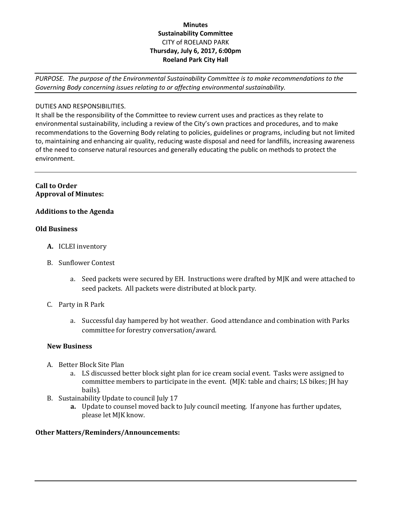# **Minutes Sustainability Committee** CITY of ROELAND PARK **Thursday, July 6, 2017, 6:00pm Roeland Park City Hall**

*PURPOSE. The purpose of the Environmental Sustainability Committee is to make recommendations to the Governing Body concerning issues relating to or affecting environmental sustainability.*

## DUTIES AND RESPONSIBILITIES.

It shall be the responsibility of the Committee to review current uses and practices as they relate to environmental sustainability, including a review of the City's own practices and procedures, and to make recommendations to the Governing Body relating to policies, guidelines or programs, including but not limited to, maintaining and enhancing air quality, reducing waste disposal and need for landfills, increasing awareness of the need to conserve natural resources and generally educating the public on methods to protect the environment.

### **Call to Order Approval of Minutes:**

## **Additions to the Agenda**

### **Old Business**

- **A.** ICLEI inventory
- B. Sunflower Contest
	- a. Seed packets were secured by EH. Instructions were drafted by MJK and were attached to seed packets. All packets were distributed at block party.
- C. Party in R Park
	- a. Successful day hampered by hot weather. Good attendance and combination with Parks committee for forestry conversation/award.

### **New Business**

- A. Better Block Site Plan
	- a. LS discussed better block sight plan for ice cream social event. Tasks were assigned to committee members to participate in the event. (MJK: table and chairs; LS bikes; JH hay bails).
- B. Sustainability Update to council July 17
	- **a.** Update to counsel moved back to July council meeting. If anyone has further updates, please let MJK know.

### **Other Matters/Reminders/Announcements:**